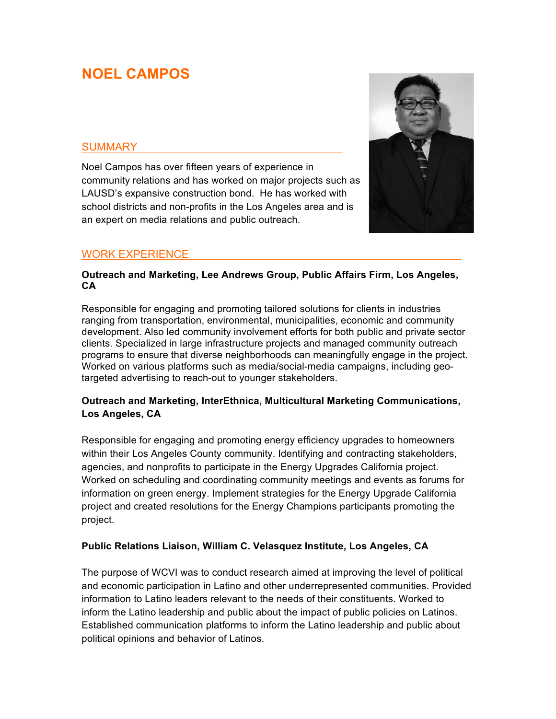# **NOEL CAMPOS**

#### **SUMMARY**

Noel Campos has over fifteen years of experience in community relations and has worked on major projects such as LAUSD's expansive construction bond. He has worked with school districts and non-profits in the Los Angeles area and is an expert on media relations and public outreach.



## WORK EXPERIENCE

#### **Outreach and Marketing, Lee Andrews Group, Public Affairs Firm, Los Angeles, CA**

Responsible for engaging and promoting tailored solutions for clients in industries ranging from transportation, environmental, municipalities, economic and community development. Also led community involvement efforts for both public and private sector clients. Specialized in large infrastructure projects and managed community outreach programs to ensure that diverse neighborhoods can meaningfully engage in the project. Worked on various platforms such as media/social-media campaigns, including geotargeted advertising to reach-out to younger stakeholders.

#### **Outreach and Marketing, InterEthnica, Multicultural Marketing Communications, Los Angeles, CA**

Responsible for engaging and promoting energy efficiency upgrades to homeowners within their Los Angeles County community. Identifying and contracting stakeholders, agencies, and nonprofits to participate in the Energy Upgrades California project. Worked on scheduling and coordinating community meetings and events as forums for information on green energy. Implement strategies for the Energy Upgrade California project and created resolutions for the Energy Champions participants promoting the project.

#### **Public Relations Liaison, William C. Velasquez Institute, Los Angeles, CA**

The purpose of WCVI was to conduct research aimed at improving the level of political and economic participation in Latino and other underrepresented communities. Provided information to Latino leaders relevant to the needs of their constituents. Worked to inform the Latino leadership and public about the impact of public policies on Latinos. Established communication platforms to inform the Latino leadership and public about political opinions and behavior of Latinos.